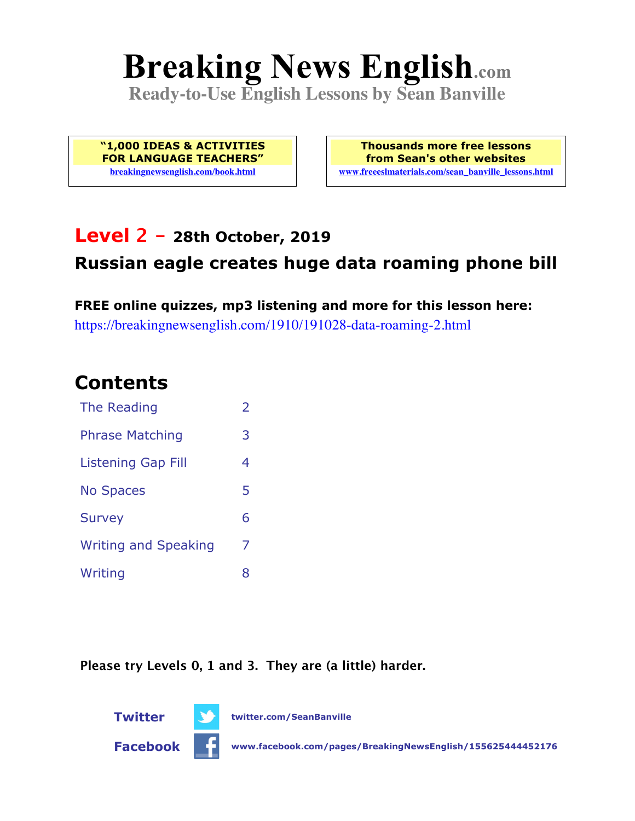# **Breaking News English.com**

**Ready-to-Use English Lessons by Sean Banville**

**"1,000 IDEAS & ACTIVITIES FOR LANGUAGE TEACHERS" breakingnewsenglish.com/book.html**

**Thousands more free lessons from Sean's other websites www.freeeslmaterials.com/sean\_banville\_lessons.html**

### **Level 2 - 28th October, 2019**

### **Russian eagle creates huge data roaming phone bill**

**FREE online quizzes, mp3 listening and more for this lesson here:** https://breakingnewsenglish.com/1910/191028-data-roaming-2.html

### **Contents**

| The Reading                 | $\overline{\phantom{a}}$ |
|-----------------------------|--------------------------|
| <b>Phrase Matching</b>      | 3                        |
| Listening Gap Fill          | 4                        |
| <b>No Spaces</b>            | 5                        |
| <b>Survey</b>               | 6                        |
| <b>Writing and Speaking</b> | 7                        |
| Writing                     | 8                        |

**Please try Levels 0, 1 and 3. They are (a little) harder.**

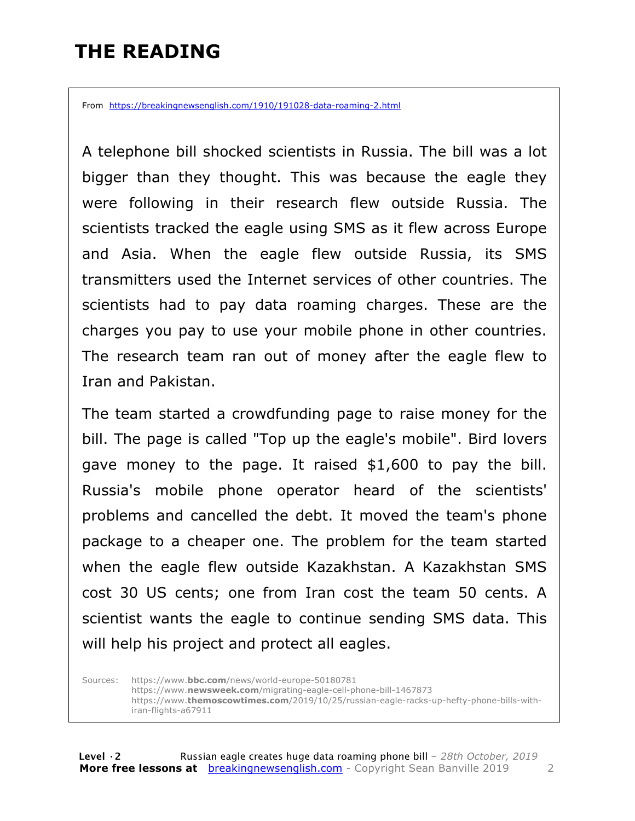# **THE READING**

From https://breakingnewsenglish.com/1910/191028-data-roaming-2.html

A telephone bill shocked scientists in Russia. The bill was a lot bigger than they thought. This was because the eagle they were following in their research flew outside Russia. The scientists tracked the eagle using SMS as it flew across Europe and Asia. When the eagle flew outside Russia, its SMS transmitters used the Internet services of other countries. The scientists had to pay data roaming charges. These are the charges you pay to use your mobile phone in other countries. The research team ran out of money after the eagle flew to Iran and Pakistan.

The team started a crowdfunding page to raise money for the bill. The page is called "Top up the eagle's mobile". Bird lovers gave money to the page. It raised \$1,600 to pay the bill. Russia's mobile phone operator heard of the scientists' problems and cancelled the debt. It moved the team's phone package to a cheaper one. The problem for the team started when the eagle flew outside Kazakhstan. A Kazakhstan SMS cost 30 US cents; one from Iran cost the team 50 cents. A scientist wants the eagle to continue sending SMS data. This will help his project and protect all eagles.

Sources: https://www.**bbc.com**/news/world-europe-50180781 https://www.**newsweek.com**/migrating-eagle-cell-phone-bill-1467873 https://www.**themoscowtimes.com**/2019/10/25/russian-eagle-racks-up-hefty-phone-bills-withiran-flights-a67911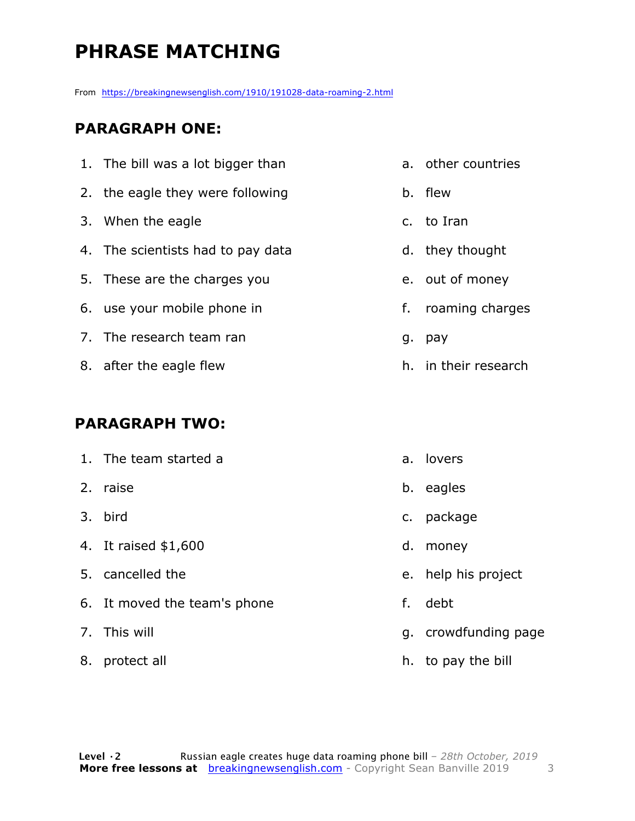# **PHRASE MATCHING**

From https://breakingnewsenglish.com/1910/191028-data-roaming-2.html

#### **PARAGRAPH ONE:**

| 1. The bill was a lot bigger than |    | a. other countries   |
|-----------------------------------|----|----------------------|
| 2. the eagle they were following  |    | b. flew              |
| 3. When the eagle                 |    | c. to Iran           |
| 4. The scientists had to pay data |    | d. they thought      |
| 5. These are the charges you      |    | e. out of money      |
| 6. use your mobile phone in       | f. | roaming charges      |
| 7. The research team ran          | g. | pay                  |
| 8. after the eagle flew           |    | h. in their research |

#### **PARAGRAPH TWO:**

|    | 1. The team started a        |    | a. lovers            |
|----|------------------------------|----|----------------------|
|    | 2. raise                     |    | b. eagles            |
|    | 3. bird                      |    | c. package           |
|    | 4. It raised \$1,600         | d. | money                |
|    | 5. cancelled the             |    | e. help his project  |
|    | 6. It moved the team's phone | f. | debt                 |
|    | 7. This will                 |    | g. crowdfunding page |
| 8. | protect all                  |    | h. to pay the bill   |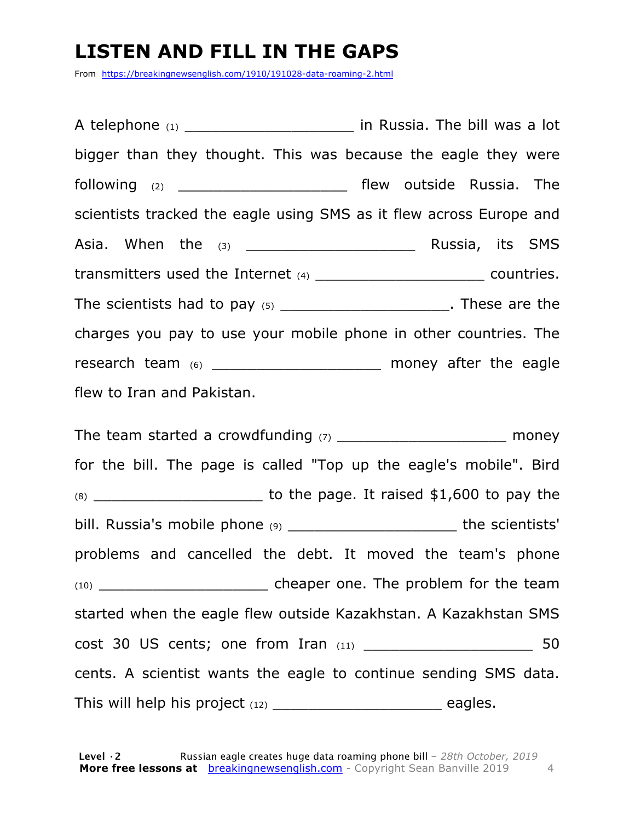# **LISTEN AND FILL IN THE GAPS**

From https://breakingnewsenglish.com/1910/191028-data-roaming-2.html

A telephone  $(1)$  and  $(2)$  in Russia. The bill was a lot bigger than they thought. This was because the eagle they were following (2) \_\_\_\_\_\_\_\_\_\_\_\_\_\_\_\_\_\_\_\_\_\_\_\_\_\_ flew outside Russia. The scientists tracked the eagle using SMS as it flew across Europe and Asia. When the <sub>(3)</sub> and the control of the C<sub>1</sub> and the C<sub>1</sub> and the C<sub>1</sub> and the C<sub>1</sub> and the C<sub>1</sub> and the C<sub>1</sub> and the C<sub>1</sub> and the C<sub>1</sub> and the C<sub>1</sub> and the C<sub>1</sub> and the C<sub>1</sub> and the C<sub>1</sub> and the C<sub>1</sub> and the C<sub>1</sub> and transmitters used the Internet (4) \_\_\_\_\_\_\_\_\_\_\_\_\_\_\_\_\_\_\_\_\_\_\_\_\_\_ countries. The scientists had to pay  $(5)$  \_\_\_\_\_\_\_\_\_\_\_\_\_\_\_\_\_\_\_\_\_\_. These are the charges you pay to use your mobile phone in other countries. The research team (6) \_\_\_\_\_\_\_\_\_\_\_\_\_\_\_\_\_\_\_\_\_ money after the eagle flew to Iran and Pakistan.

The team started a crowdfunding  $(7)$  and the money for the bill. The page is called "Top up the eagle's mobile". Bird (8) \_\_\_\_\_\_\_\_\_\_\_\_\_\_\_\_\_\_\_ to the page. It raised \$1,600 to pay the bill. Russia's mobile phone (9) \_\_\_\_\_\_\_\_\_\_\_\_\_\_\_\_\_\_\_\_\_\_\_\_\_ the scientists' problems and cancelled the debt. It moved the team's phone  $(10)$  cheaper one. The problem for the team started when the eagle flew outside Kazakhstan. A Kazakhstan SMS cost 30 US cents; one from Iran (11) \_\_\_\_\_\_\_\_\_\_\_\_\_\_\_\_\_\_\_ 50 cents. A scientist wants the eagle to continue sending SMS data. This will help his project  $(12)$  \_\_\_\_\_\_\_\_\_\_\_\_\_\_\_\_\_\_\_\_\_\_\_\_\_\_\_\_\_\_\_\_\_ eagles.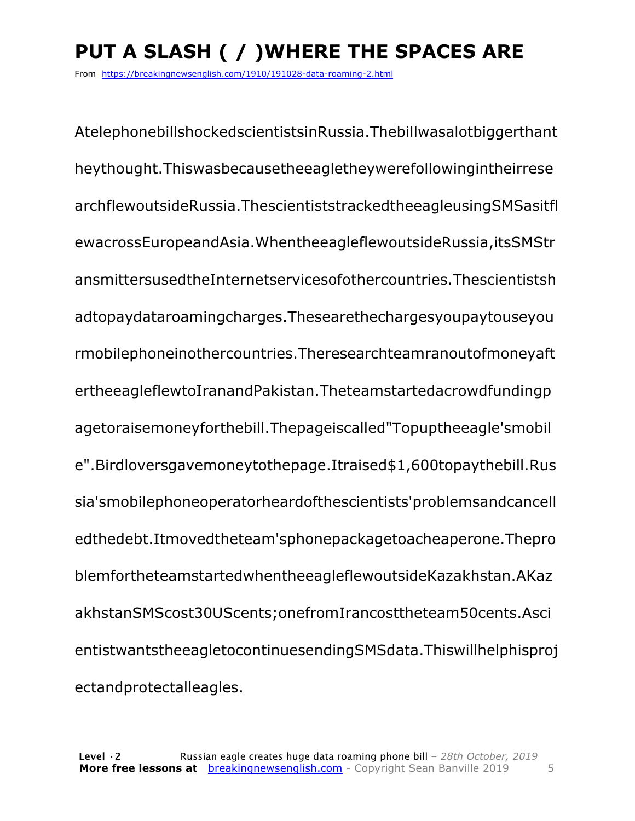# **PUT A SLASH ( / )WHERE THE SPACES ARE**

From https://breakingnewsenglish.com/1910/191028-data-roaming-2.html

AtelephonebillshockedscientistsinRussia.Thebillwasalotbiggerthant heythought.Thiswasbecausetheeagletheywerefollowingintheirrese archflewoutsideRussia.ThescientiststrackedtheeagleusingSMSasitfl ewacrossEuropeandAsia.WhentheeagleflewoutsideRussia,itsSMStr ansmittersusedtheInternetservicesofothercountries.Thescientistsh adtopaydataroamingcharges.Thesearethechargesyoupaytouseyou rmobilephoneinothercountries.Theresearchteamranoutofmoneyaft ertheeagleflewtoIranandPakistan.Theteamstartedacrowdfundingp agetoraisemoneyforthebill.Thepageiscalled"Topuptheeagle'smobil e".Birdloversgavemoneytothepage.Itraised\$1,600topaythebill.Rus sia'smobilephoneoperatorheardofthescientists'problemsandcancell edthedebt.Itmovedtheteam'sphonepackagetoacheaperone.Thepro blemfortheteamstartedwhentheeagleflewoutsideKazakhstan.AKaz akhstanSMScost30UScents;onefromIrancosttheteam50cents.Asci entistwantstheeagletocontinuesendingSMSdata.Thiswillhelphisproj ectandprotectalleagles.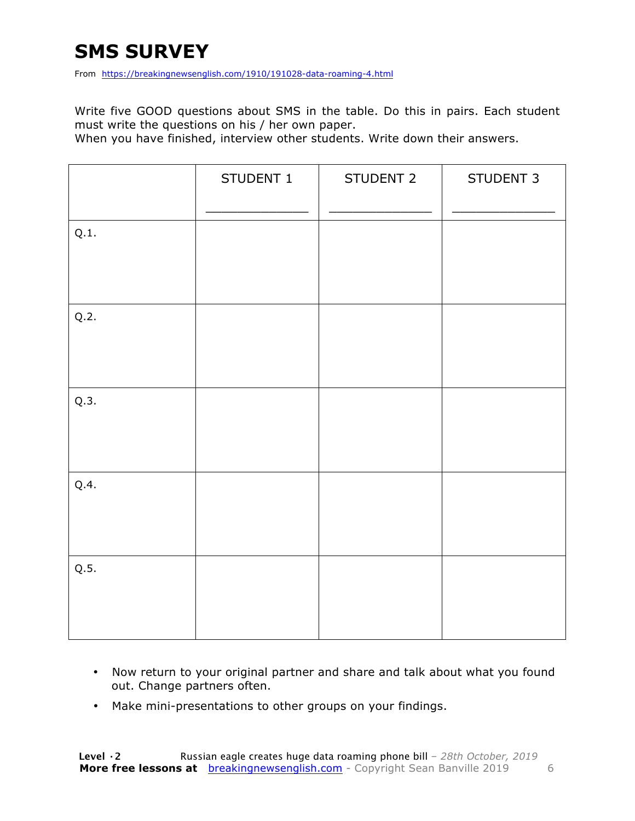# **SMS SURVEY**

From https://breakingnewsenglish.com/1910/191028-data-roaming-4.html

Write five GOOD questions about SMS in the table. Do this in pairs. Each student must write the questions on his / her own paper.

When you have finished, interview other students. Write down their answers.

|      | STUDENT 1 | STUDENT 2 | STUDENT 3 |
|------|-----------|-----------|-----------|
| Q.1. |           |           |           |
| Q.2. |           |           |           |
| Q.3. |           |           |           |
| Q.4. |           |           |           |
| Q.5. |           |           |           |

- Now return to your original partner and share and talk about what you found out. Change partners often.
- Make mini-presentations to other groups on your findings.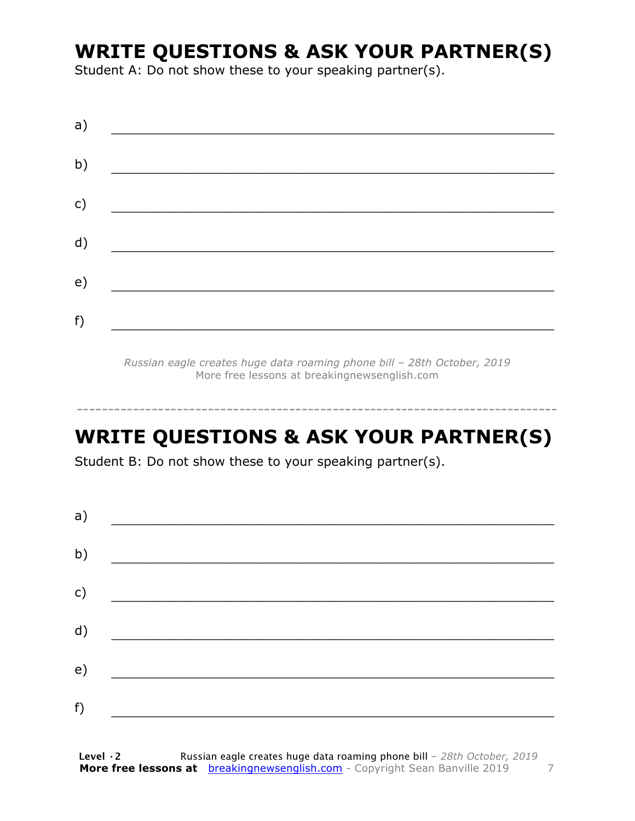# **WRITE QUESTIONS & ASK YOUR PARTNER(S)**

Student A: Do not show these to your speaking partner(s).

| a) |  |  |
|----|--|--|
| b) |  |  |
| c) |  |  |
| d) |  |  |
| e) |  |  |
|    |  |  |
| f) |  |  |

*Russian eagle creates huge data roaming phone bill – 28th October, 2019* More free lessons at breakingnewsenglish.com

# **WRITE QUESTIONS & ASK YOUR PARTNER(S)**

-----------------------------------------------------------------------------

Student B: Do not show these to your speaking partner(s).

| a) |  |  |
|----|--|--|
| b) |  |  |
| c) |  |  |
| d) |  |  |
| e) |  |  |
| f) |  |  |
|    |  |  |

**Level ·2** Russian eagle creates huge data roaming phone bill *– 28th October, 2019* **More free lessons at** breakingnewsenglish.com - Copyright Sean Banville 2019 7